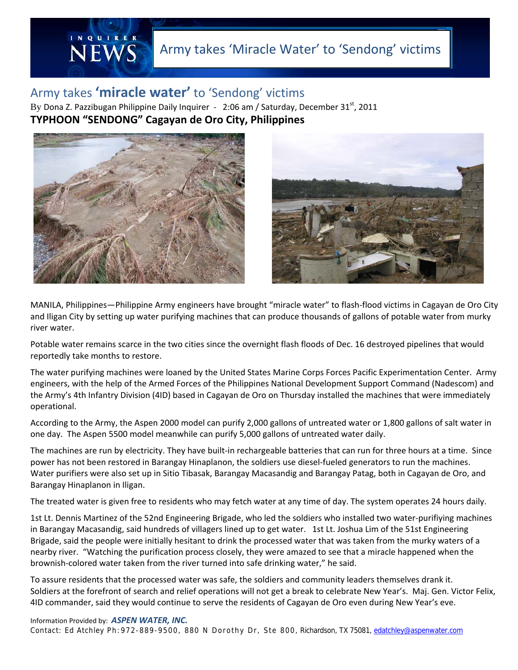## INQUIRER

## Army takes 'Miracle Water' to 'Sendong' victims

## Army takes **'miracle water'** to 'Sendong' victims

By Dona Z. Pazzibugan Philippine Daily Inquirer - 2:06 am / Saturday, December 31<sup>st</sup>, 2011 **TYPHOON "SENDONG" Cagayan de Oro City, Philippines**





MANILA, Philippines—Philippine Army engineers have brought "miracle water" to flash‐flood victims in Cagayan de Oro City and Iligan City by setting up water purifying machines that can produce thousands of gallons of potable water from murky river water.

Potable water remains scarce in the two cities since the overnight flash floods of Dec. 16 destroyed pipelines that would reportedly take months to restore.

The water purifying machines were loaned by the United States Marine Corps Forces Pacific Experimentation Center. Army engineers, with the help of the Armed Forces of the Philippines National Development Support Command (Nadescom) and the Army's 4th Infantry Division (4ID) based in Cagayan de Oro on Thursday installed the machines that were immediately operational.

According to the Army, the Aspen 2000 model can purify 2,000 gallons of untreated water or 1,800 gallons of salt water in one day. The Aspen 5500 model meanwhile can purify 5,000 gallons of untreated water daily.

The machines are run by electricity. They have built-in rechargeable batteries that can run for three hours at a time. Since power has not been restored in Barangay Hinaplanon, the soldiers use diesel‐fueled generators to run the machines. Water purifiers were also set up in Sitio Tibasak, Barangay Macasandig and Barangay Patag, both in Cagayan de Oro, and Barangay Hinaplanon in Iligan.

The treated water is given free to residents who may fetch water at any time of day. The system operates 24 hours daily.

1st Lt. Dennis Martinez of the 52nd Engineering Brigade, who led the soldiers who installed two water‐purifiying machines in Barangay Macasandig, said hundreds of villagers lined up to get water. 1st Lt. Joshua Lim of the 51st Engineering Brigade, said the people were initially hesitant to drink the processed water that was taken from the murky waters of a nearby river. "Watching the purification process closely, they were amazed to see that a miracle happened when the brownish-colored water taken from the river turned into safe drinking water," he said.

To assure residents that the processed water was safe, the soldiers and community leaders themselves drank it. Soldiers at the forefront of search and relief operations will not get a break to celebrate New Year's. Maj. Gen. Victor Felix, 4ID commander, said they would continue to serve the residents of Cagayan de Oro even during New Year's eve.

Information Provided by: *ASPEN WATER, INC.*

Contact: Ed Atchley Ph: 972-889-9500, 880 N Dorothy Dr, Ste 800, Richardson, TX 75081, edatchley@aspenwater.com